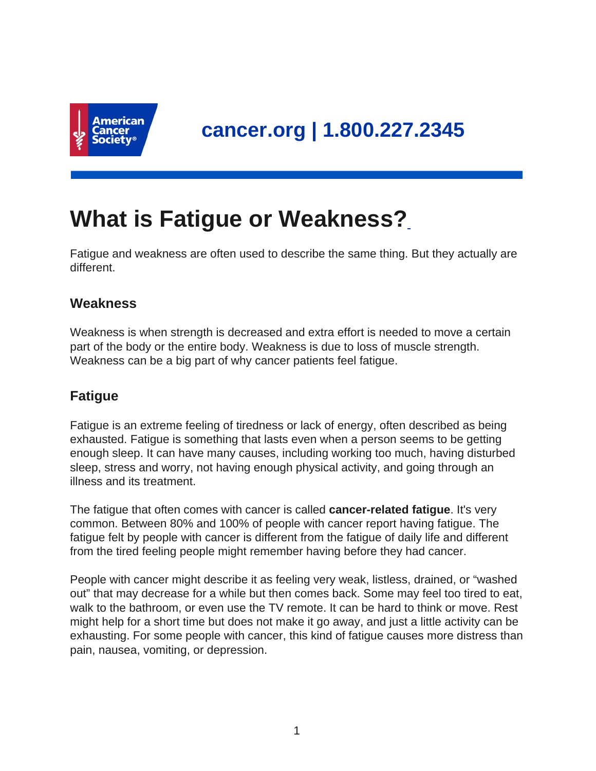

# **What is Fatigue or Weakness?**

Fatigue and weakness are often used to describe the same thing. But they actually are different.

## **Weakness**

Weakness is when strength is decreased and extra effort is needed to move a certain part of the body or the entire body. Weakness is due to loss of muscle strength. Weakness can be a big part of why cancer patients feel fatigue.

# **Fatigue**

Fatigue is an extreme feeling of tiredness or lack of energy, often described as being exhausted. Fatigue is something that lasts even when a person seems to be getting enough sleep. It can have many causes, including working too much, having disturbed sleep, stress and worry, not having enough physical activity, and going through an illness and its treatment.

The fatigue that often comes with cancer is called **cancer-related fatigue**. It's very common. Between 80% and 100% of people with cancer report having fatigue. The fatigue felt by people with cancer is different from the fatigue of daily life and different from the tired feeling people might remember having before they had cancer.

People with cancer might describe it as feeling very weak, listless, drained, or "washed out" that may decrease for a while but then comes back. Some may feel too tired to eat, walk to the bathroom, or even use the TV remote. It can be hard to think or move. Rest might help for a short time but does not make it go away, and just a little activity can be exhausting. For some people with cancer, this kind of fatigue causes more distress than pain, nausea, vomiting, or depression.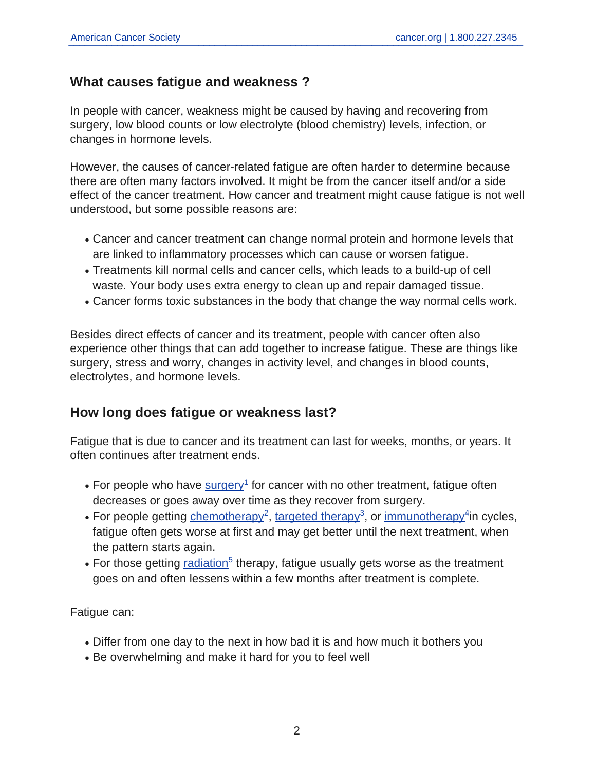## **What causes fatigue and weakness ?**

In people with cancer, weakness might be caused by having and recovering from surgery, low blood counts or low electrolyte (blood chemistry) levels, infection, or changes in hormone levels.

However, the causes of cancer-related fatigue are often harder to determine because there are often many factors involved. It might be from the cancer itself and/or a side effect of the cancer treatment. How cancer and treatment might cause fatigue is not well understood, but some possible reasons are:

- Cancer and cancer treatment can change normal protein and hormone levels that are linked to inflammatory processes which can cause or worsen fatigue.
- Treatments kill normal cells and cancer cells, which leads to a build-up of cell waste. Your body uses extra energy to clean up and repair damaged tissue.
- Cancer forms toxic substances in the body that change the way normal cells work.

Besides direct effects of cancer and its treatment, people with cancer often also experience other things that can add together to increase fatigue. These are things like surgery, stress and worry, changes in activity level, and changes in blood counts, electrolytes, and hormone levels.

## **How long does fatigue or weakness last?**

Fatigue that is due to cancer and its treatment can last for weeks, months, or years. It often continues after treatment ends.

- For people who have  $\frac{\text{surgery}}{}$  $\frac{\text{surgery}}{}$  $\frac{\text{surgery}}{}$  for cancer with no other treatment, fatigue often decreases or goes away over time as they recover from surgery.
- For people getting [chemotherapy](https://www.cancer.org/content/cancer/en/treatment/treatments-and-side-effects/treatment-types/chemotherapy.html)<sup>2</sup>, [targeted therapy](https://www.cancer.org/content/cancer/en/treatment/treatments-and-side-effects/treatment-types/targeted-therapy.html)<sup>3</sup>, or [immunotherapy](https://www.cancer.org/content/cancer/en/treatment/treatments-and-side-effects/treatment-types/immunotherapy.html)<sup>4</sup>in cycles, fatigue often gets worse at first and may get better until the next treatment, when the pattern starts again.
- For those getting [radiation](https://www.cancer.org/content/cancer/en/treatment/treatments-and-side-effects/treatment-types/radiation.html)<sup>5</sup> therapy, fatigue usually gets worse as the treatment goes on and often lessens within a few months after treatment is complete.

Fatigue can:

- Differ from one day to the next in how bad it is and how much it bothers you
- Be overwhelming and make it hard for you to feel well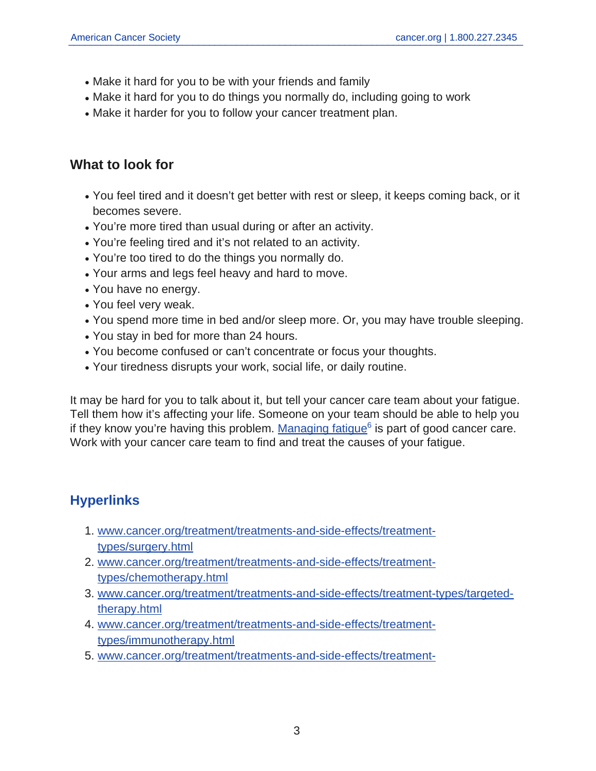- Make it hard for you to be with your friends and family
- Make it hard for you to do things you normally do, including going to work
- Make it harder for you to follow your cancer treatment plan.

## **What to look for**

- You feel tired and it doesn't get better with rest or sleep, it keeps coming back, or it becomes severe.
- You're more tired than usual during or after an activity.
- You're feeling tired and it's not related to an activity.
- You're too tired to do the things you normally do.
- Your arms and legs feel heavy and hard to move.
- You have no energy.
- You feel very weak.
- You spend more time in bed and/or sleep more. Or, you may have trouble sleeping.
- You stay in bed for more than 24 hours.
- You become confused or can't concentrate or focus your thoughts.
- Your tiredness disrupts your work, social life, or daily routine.

It may be hard for you to talk about it, but tell your cancer care team about your fatigue. Tell them how it's affecting your life. Someone on your team should be able to help you if they know you're having this problem. [Managing fatigue](https://www.cancer.org/content/cancer/en/treatment/treatments-and-side-effects/physical-side-effects/fatigue/managing-cancer-related-fatigue.html)<sup>6</sup> is part of good cancer care. Work with your cancer care team to find and treat the causes of your fatigue.

## **Hyperlinks**

- 1. [www.cancer.org/treatment/treatments-and-side-effects/treatment](https://www.cancer.org/treatment/treatments-and-side-effects/treatment-types/surgery.html)[types/surgery.html](https://www.cancer.org/treatment/treatments-and-side-effects/treatment-types/surgery.html)
- 2. [www.cancer.org/treatment/treatments-and-side-effects/treatment](https://www.cancer.org/treatment/treatments-and-side-effects/treatment-types/chemotherapy.html)[types/chemotherapy.html](https://www.cancer.org/treatment/treatments-and-side-effects/treatment-types/chemotherapy.html)
- 3. [www.cancer.org/treatment/treatments-and-side-effects/treatment-types/targeted](https://www.cancer.org/treatment/treatments-and-side-effects/treatment-types/targeted-therapy.html)[therapy.html](https://www.cancer.org/treatment/treatments-and-side-effects/treatment-types/targeted-therapy.html)
- 4. [www.cancer.org/treatment/treatments-and-side-effects/treatment](https://www.cancer.org/treatment/treatments-and-side-effects/treatment-types/immunotherapy.html)[types/immunotherapy.html](https://www.cancer.org/treatment/treatments-and-side-effects/treatment-types/immunotherapy.html)
- 5. [www.cancer.org/treatment/treatments-and-side-effects/treatment-](https://www.cancer.org/treatment/treatments-and-side-effects/treatment-types/radiation.html)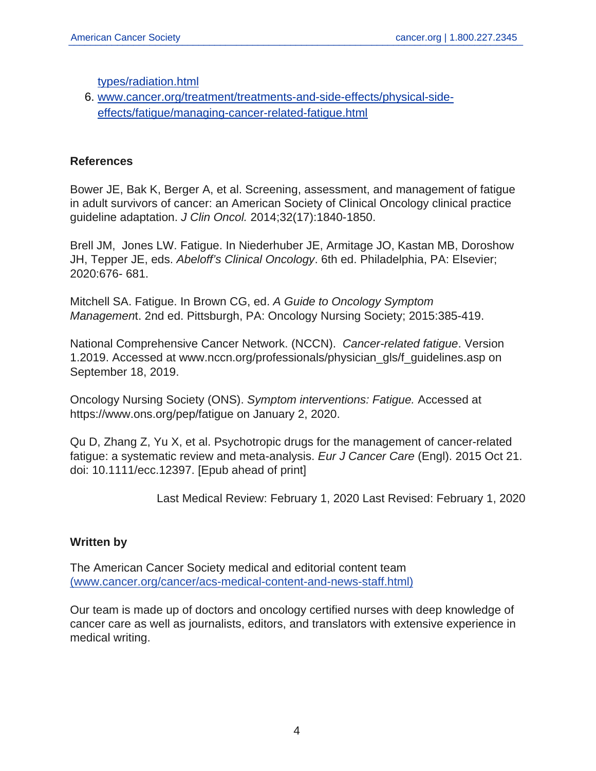[types/radiation.html](https://www.cancer.org/treatment/treatments-and-side-effects/treatment-types/radiation.html)

6. [www.cancer.org/treatment/treatments-and-side-effects/physical-side](https://www.cancer.org/treatment/treatments-and-side-effects/physical-side-effects/fatigue/managing-cancer-related-fatigue.html)[effects/fatigue/managing-cancer-related-fatigue.html](https://www.cancer.org/treatment/treatments-and-side-effects/physical-side-effects/fatigue/managing-cancer-related-fatigue.html)

#### **References**

Bower JE, Bak K, Berger A, et al. Screening, assessment, and management of fatigue in adult survivors of cancer: an American Society of Clinical Oncology clinical practice guideline adaptation. J Clin Oncol. 2014;32(17):1840-1850.

Brell JM, Jones LW. Fatigue. In Niederhuber JE, Armitage JO, Kastan MB, Doroshow JH, Tepper JE, eds. Abeloff's Clinical Oncology. 6th ed. Philadelphia, PA: Elsevier; 2020:676- 681.

Mitchell SA. Fatigue. In Brown CG, ed. A Guide to Oncology Symptom Management. 2nd ed. Pittsburgh, PA: Oncology Nursing Society; 2015:385-419.

National Comprehensive Cancer Network. (NCCN). Cancer-related fatigue. Version 1.2019. Accessed at www.nccn.org/professionals/physician\_gls/f\_guidelines.asp on September 18, 2019.

Oncology Nursing Society (ONS). Symptom interventions: Fatigue. Accessed at https://www.ons.org/pep/fatigue on January 2, 2020.

Qu D, Zhang Z, Yu X, et al. Psychotropic drugs for the management of cancer-related fatigue: a systematic review and meta-analysis. Eur J Cancer Care (Engl). 2015 Oct 21. doi: 10.1111/ecc.12397. [Epub ahead of print]

Last Medical Review: February 1, 2020 Last Revised: February 1, 2020

### **Written by**

The American Cancer Society medical and editorial content team [\(www.cancer.org/cancer/acs-medical-content-and-news-staff.html\)](https://www.cancer.org/content/cancer/en/cancer/acs-medical-content-and-news-staff.html)

Our team is made up of doctors and oncology certified nurses with deep knowledge of cancer care as well as journalists, editors, and translators with extensive experience in medical writing.